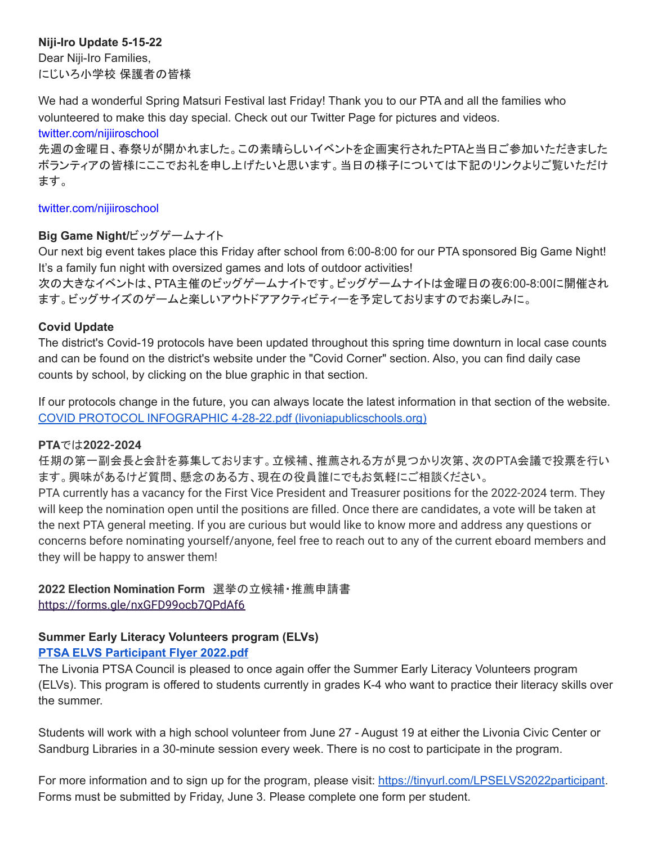# **Niji-Iro Update 5-15-22**

Dear Niji-Iro Families, にじいろ小学校 保護者の皆様

We had a wonderful Spring Matsuri Festival last Friday! Thank you to our PTA and all the families who volunteered to make this day special. Check out our Twitter Page for pictures and videos.

#### twitter.com/nijiiroschool

先週の金曜日、春祭りが開かれました。この素晴らしいイベントを企画実行されたPTAと当日ご参加いただきました ボランティアの皆様にここでお礼を申し上げたいと思います。当日の様子については下記のリンクよりご覧いただけ ます。

### twitter.com/nijiiroschool

# **Big Game Night/**ビッグゲームナイト

Our next big event takes place this Friday after school from 6:00-8:00 for our PTA sponsored Big Game Night! It's a family fun night with oversized games and lots of outdoor activities! 次の大きなイベントは、PTA主催のビッグゲームナイトです。ビッグゲームナイトは金曜日の夜6:00-8:00に開催され ます。ビッグサイズのゲームと楽しいアウトドアアクティビティーを予定しておりますのでお楽しみに。

### **Covid Update**

The district's Covid-19 protocols have been updated throughout this spring time downturn in local case counts and can be found on the district's website under the "Covid Corner" section. Also, you can find daily case counts by school, by clicking on the blue graphic in that section.

If our protocols change in the future, you can always locate the latest information in that section of the website. COVID PROTOCOL INFOGRAPHIC 4-28-22.pdf [\(livoniapublicschools.org\)](https://www.livoniapublicschools.org/cms/lib/MI50000451/Centricity/Domain/4/COVID%20PROTOCOL%20INFOGRAPHIC%204-28-22.pdf)

### **PTA**では**2022-2024**

任期の第一副会長と会計を募集しております。立候補、推薦される方が見つかり次第、次のPTA会議で投票を行い ます。興味があるけど質問、懸念のある方、現在の役員誰にでもお気軽にご相談ください。

PTA currently has a vacancy for the First Vice President and Treasurer positions for the 2022-2024 term. They will keep the nomination open until the positions are filled. Once there are candidates, a vote will be taken at the next PTA general meeting. If you are curious but would like to know more and address any questions or concerns before nominating yourself/anyone, feel free to reach out to any of the current eboard members and they will be happy to answer them!

# **2022 Election Nomination Form** 選挙の立候補・推薦申請書 <https://forms.gle/nxGFD99ocb7QPdAf6>

# **Summer Early Literacy Volunteers program (ELVs)**

# **PTSA ELVS [Participant](http://track.spe.schoolmessenger.com/f/a/yo3N9fkbjL0h0aeV7B1ImQ~~/AAAAAQA~/RgRkX8J8P0R1aHR0cHM6Ly9tc2cuc2Nob29sbWVzc2VuZ2VyLmNvbS9tLz9zPW42NktrSFFxR1dnJm1hbD1iYmY1ZDg1MWFkODdlODFiNGNmZDA3NGZiOTc4ZTY3YmU0ODJiNjU0ZDczMmE3MmQxZDczZTk5YmFjZjc0NzM5VwdzY2hvb2xtQgpib_yOfmL6Y-izUiBsZGVsdWNhQGxpdm9uaWFwdWJsaWNzY2hvb2xzLm9yZ1gEAAAAAQ~~) Flyer 2022.pdf**

The Livonia PTSA Council is pleased to once again offer the Summer Early Literacy Volunteers program (ELVs). This program is offered to students currently in grades K-4 who want to practice their literacy skills over the summer.

Students will work with a high school volunteer from June 27 - August 19 at either the Livonia Civic Center or Sandburg Libraries in a 30-minute session every week. There is no cost to participate in the program.

For more information and to sign up for the program, please visit: <https://tinyurl.com/LPSELVS2022participant>. Forms must be submitted by Friday, June 3. Please complete one form per student.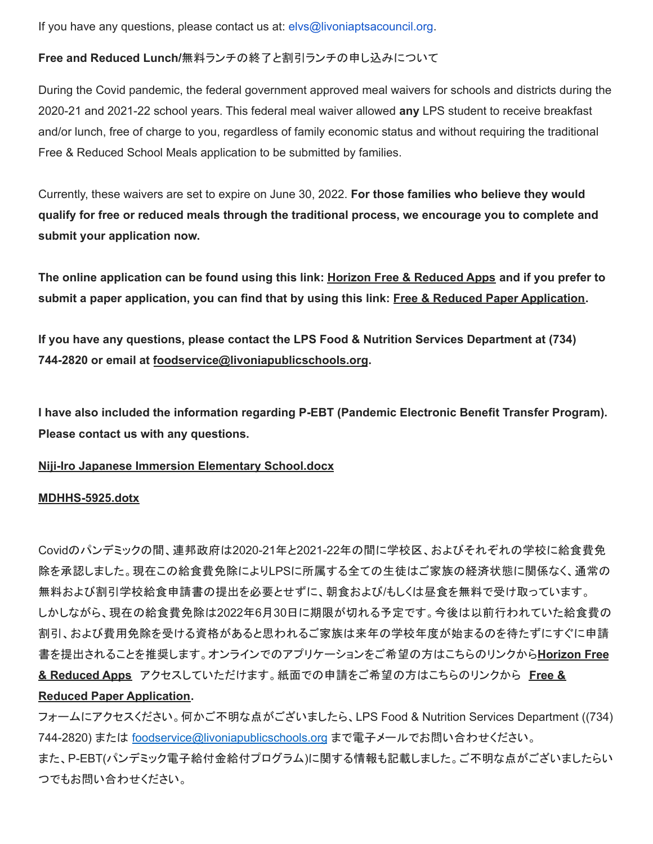If you have any questions, please contact us at: elvs@livoniaptsacouncil.org.

### **Free and Reduced Lunch/**無料ランチの終了と割引ランチの申し込みについて

During the Covid pandemic, the federal government approved meal waivers for schools and districts during the 2020-21 and 2021-22 school years. This federal meal waiver allowed **any** LPS student to receive breakfast and/or lunch, free of charge to you, regardless of family economic status and without requiring the traditional Free & Reduced School Meals application to be submitted by families.

Currently, these waivers are set to expire on June 30, 2022. **For those families who believe they would qualify for free or reduced meals through the traditional process, we encourage you to complete and submit your application now.**

The online application can be found using this link: Horizon Free & [Reduced](http://track.spe.schoolmessenger.com/f/a/wJG7soAPgv5Bd1k_GxHYTw~~/AAAAAQA~/RgRkVpzhP0QoaHR0cHM6Ly9mcmFwcHMuaG9yaXpvbnNvbGFuYS5jb20vd2VsY29tZVcHc2Nob29sbUIKYnBhaXViAVMeyFIgbGRlbHVjYUBsaXZvbmlhcHVibGljc2Nob29scy5vcmdYBAAAAAE~) Apps and if you prefer to submit a paper application, you can find that by using this link: Free & Reduced Paper [Application](http://track.spe.schoolmessenger.com/f/a/qHI_l2BxqEP4UIcylJbiKQ~~/AAAAAQA~/RgRkVpzhP0SWaHR0cHM6Ly93d3cubGl2b25pYXB1YmxpY3NjaG9vbHMub3JnL2Ntcy9saWIvTUk1MDAwMDQ1MS9DZW50cmljaXR5L0RvbWFpbi8yNTEvMjAyMS0yMiUyMExQUyUyMEZyZWVfYW5kX1JlZHVjZWQtcHJpY2VfYXBwbGljYXRpb25fNjUzNzg1XzclMjAwNzEyMjEucGRmVwdzY2hvb2xtQgpicGFpdWIBUx7IUiBsZGVsdWNhQGxpdm9uaWFwdWJsaWNzY2hvb2xzLm9yZ1gEAAAAAQ~~).

**If you have any questions, please contact the LPS Food & Nutrition Services Department at (734) 744-2820 or email at [foodservice@livoniapublicschools.org](mailto:foodservice@livoniapublicschools.org).**

**I have also included the information regarding P-EBT (Pandemic Electronic Benefit Transfer Program). Please contact us with any questions.**

### **Niji-Iro Japanese Immersion Elementary [School.docx](http://track.spe.schoolmessenger.com/f/a/X1KgkwqwD7uKvzi8WArg6w~~/AAAAAQA~/RgRkWoTVP0R1aHR0cHM6Ly9tc2cuc2Nob29sbWVzc2VuZ2VyLmNvbS9tLz9zPW1ZMHBkWDRDVDlFJm1hbD05YWFiMTk3OGQ3ZjE4NmJhOTczYmI1MzQ0NjM4MGMxMzg5ODFlNWJjNTMxMzIyZTYxZDk0MjY5NWUzNWI2YzQyVwdzY2hvb2xtQgpib1VReWL_mPnRUiBsZGVsdWNhQGxpdm9uaWFwdWJsaWNzY2hvb2xzLm9yZ1gEAAAAAQ~~)**

#### **[MDHHS-5925.dotx](http://track.spe.schoolmessenger.com/f/a/7TMlFDvOxH7u2YKLxl3LMA~~/AAAAAQA~/RgRkWoTVP4RHAWh0dHA6Ly90cmFjay5zcGUuc2Nob29sbWVzc2VuZ2VyLmNvbS9mL2EveVBFaW03MXNtbHNOOEt1SXVWOE4wUX5-L0FBQUFBUUF-L1JnUmtXa3dGUDBSMWFIUjBjSE02THk5dGMyY3VjMk5vYjI5c2JXVnpjMlZ1WjJWeUxtTnZiUzl0THo5elBXWkVhRzFwZVVvMlUxTkpKbTFoYkQweFpXTm1abVZqTlRabU1HRTFNVE0wTjJZNFlUTTNZbVZrWXprek5HTTBNMlZrWVdRM056UTFOR1l4TVRBMFpUZzNNVGd5TkRnelpqUTROelU0TnpVMVZ3ZHpZMmh2YjJ4dFFncGljSVVZZVdJQlU0UDRVaUJzWkdWc2RXTmhRR3hwZG05dWFXRndkV0pzYVdOelkyaHZiMnh6TG05eVoxZ0VBQUFBQVF-flcHc2Nob29sbUIKYm9VUXli_5j50VIgbGRlbHVjYUBsaXZvbmlhcHVibGljc2Nob29scy5vcmdYBAAAAAE~)**

Covidのパンデミックの間、連邦政府は2020-21年と2021-22年の間に学校区、およびそれぞれの学校に給食費免 除を承認しました。現在この給食費免除によりLPSに所属する全ての生徒はご家族の経済状態に関係なく、通常の 無料および割引学校給食申請書の提出を必要とせずに、朝食および/もしくは昼食を無料で受け取っています。 しかしながら、現在の給食費免除は2022年6月30日に期限が切れる予定です。今後は以前行われていた給食費の 割引、および費用免除を受ける資格があると思われるご家族は来年の学校年度が始まるのを待たずにすぐに申請 書を提出されることを推奨します。オンラインでのアプリケーションをご希望の方はこちらのリンクから**[Horizon](http://track.spe.schoolmessenger.com/f/a/wJG7soAPgv5Bd1k_GxHYTw~~/AAAAAQA~/RgRkVpzhP0QoaHR0cHM6Ly9mcmFwcHMuaG9yaXpvbnNvbGFuYS5jb20vd2VsY29tZVcHc2Nob29sbUIKYnBhaXViAVMeyFIgbGRlbHVjYUBsaXZvbmlhcHVibGljc2Nob29scy5vcmdYBAAAAAE~) Free & [Reduced](http://track.spe.schoolmessenger.com/f/a/wJG7soAPgv5Bd1k_GxHYTw~~/AAAAAQA~/RgRkVpzhP0QoaHR0cHM6Ly9mcmFwcHMuaG9yaXpvbnNvbGFuYS5jb20vd2VsY29tZVcHc2Nob29sbUIKYnBhaXViAVMeyFIgbGRlbHVjYUBsaXZvbmlhcHVibGljc2Nob29scy5vcmdYBAAAAAE~) Apps** アクセスしていただけます。紙面での申請をご希望の方はこちらのリンクから **[Free](http://track.spe.schoolmessenger.com/f/a/qHI_l2BxqEP4UIcylJbiKQ~~/AAAAAQA~/RgRkVpzhP0SWaHR0cHM6Ly93d3cubGl2b25pYXB1YmxpY3NjaG9vbHMub3JnL2Ntcy9saWIvTUk1MDAwMDQ1MS9DZW50cmljaXR5L0RvbWFpbi8yNTEvMjAyMS0yMiUyMExQUyUyMEZyZWVfYW5kX1JlZHVjZWQtcHJpY2VfYXBwbGljYXRpb25fNjUzNzg1XzclMjAwNzEyMjEucGRmVwdzY2hvb2xtQgpicGFpdWIBUx7IUiBsZGVsdWNhQGxpdm9uaWFwdWJsaWNzY2hvb2xzLm9yZ1gEAAAAAQ~~) & Reduced Paper [Application.](http://track.spe.schoolmessenger.com/f/a/qHI_l2BxqEP4UIcylJbiKQ~~/AAAAAQA~/RgRkVpzhP0SWaHR0cHM6Ly93d3cubGl2b25pYXB1YmxpY3NjaG9vbHMub3JnL2Ntcy9saWIvTUk1MDAwMDQ1MS9DZW50cmljaXR5L0RvbWFpbi8yNTEvMjAyMS0yMiUyMExQUyUyMEZyZWVfYW5kX1JlZHVjZWQtcHJpY2VfYXBwbGljYXRpb25fNjUzNzg1XzclMjAwNzEyMjEucGRmVwdzY2hvb2xtQgpicGFpdWIBUx7IUiBsZGVsdWNhQGxpdm9uaWFwdWJsaWNzY2hvb2xzLm9yZ1gEAAAAAQ~~)**

フォームにアクセスください。何かご不明な点がございましたら、LPS Food & Nutrition Services Department ((734) 744-2820) または foodservice@livoniapublicschools.org まで電子メールでお問い合わせください。 また、P-EBT(パンデミック電子給付金給付プログラム)に関する情報も記載しました。ご不明な点がございましたらい つでもお問い合わせください。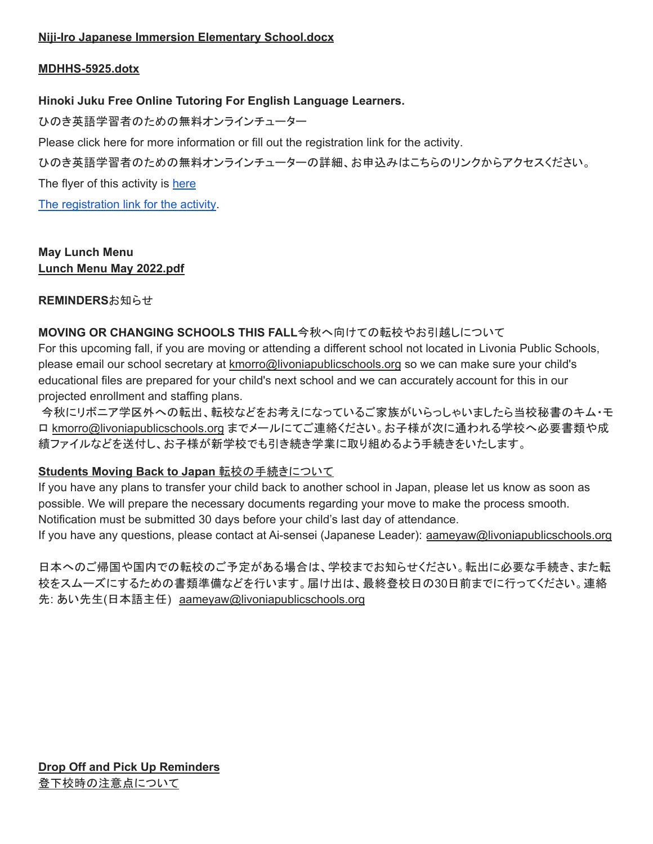### **[MDHHS-5925.dotx](http://track.spe.schoolmessenger.com/f/a/7TMlFDvOxH7u2YKLxl3LMA~~/AAAAAQA~/RgRkWoTVP4RHAWh0dHA6Ly90cmFjay5zcGUuc2Nob29sbWVzc2VuZ2VyLmNvbS9mL2EveVBFaW03MXNtbHNOOEt1SXVWOE4wUX5-L0FBQUFBUUF-L1JnUmtXa3dGUDBSMWFIUjBjSE02THk5dGMyY3VjMk5vYjI5c2JXVnpjMlZ1WjJWeUxtTnZiUzl0THo5elBXWkVhRzFwZVVvMlUxTkpKbTFoYkQweFpXTm1abVZqTlRabU1HRTFNVE0wTjJZNFlUTTNZbVZrWXprek5HTTBNMlZrWVdRM056UTFOR1l4TVRBMFpUZzNNVGd5TkRnelpqUTROelU0TnpVMVZ3ZHpZMmh2YjJ4dFFncGljSVVZZVdJQlU0UDRVaUJzWkdWc2RXTmhRR3hwZG05dWFXRndkV0pzYVdOelkyaHZiMnh6TG05eVoxZ0VBQUFBQVF-flcHc2Nob29sbUIKYm9VUXli_5j50VIgbGRlbHVjYUBsaXZvbmlhcHVibGljc2Nob29scy5vcmdYBAAAAAE~)**

# **Hinoki Juku Free Online Tutoring For English Language Learners.**

ひのき英語学習者のための無料オンラインチューター

Please click [here](https://drive.google.com/file/d/1mQuWps-in8TTfgn5GFKIm5bKv8u5lmfc/view) for more information or fill out the [registration](https://forms.gle/wS7JTewaFBSw7Vw57) link for the activity.

ひのき英語学習者のための無料オンラインチューターの詳細、お申込みはこちらのリンクからアクセスください。

The flyer of this activity is [here](https://drive.google.com/file/d/1mQuWps-in8TTfgn5GFKIm5bKv8u5lmfc/view)

The [registration](https://forms.gle/wS7JTewaFBSw7Vw57) link for the activity.

### **May Lunch Menu Lunch Menu May [2022.pdf](http://track.spe.schoolmessenger.com/f/a/Gy8Pz8aV9KMZY0PjsLbLeg~~/AAAAAQA~/RgRkS_3EP0R1aHR0cHM6Ly9tc2cuc2Nob29sbWVzc2VuZ2VyLmNvbS9tLz9zPUNoMjk2S1gxSmZ3Jm1hbD00ZDY2NTVhMDg3MTczOGMxZWRhYTgxOTFlMjE0MDgyYmM1NWRhZTU1NmNjN2Q1OGE2MmQ2OTExODUyYzMxYWViVwdzY2hvb2xtQgpiYUTKamLEFFghUiBsZGVsdWNhQGxpdm9uaWFwdWJsaWNzY2hvb2xzLm9yZ1gEAAAAAQ~~)**

### **REMINDERS**お知らせ

# **MOVING OR CHANGING SCHOOLS THIS FALL**今秋へ向けての転校やお引越しについて

For this upcoming fall, if you are moving or attending a different school not located in Livonia Public Schools, please email our school secretary at [kmorro@livoniapublicschools.org](mailto:kmorro@livoniapublicschools.org) so we can make sure your child's educational files are prepared for your child's next school and we can accurately account for this in our projected enrollment and staffing plans.

今秋にリボニア学区外への転出、転校などをお考えになっているご家族がいらっしゃいましたら当校秘書のキム・モ ロ [kmorro@livoniapublicschools.org](mailto:kmorro@livoniapublicschools.org) までメールにてご連絡ください。お子様が次に通われる学校へ必要書類や成 績ファイルなどを送付し、お子様が新学校でも引き続き学業に取り組めるよう手続きをいたします。

# **Students Moving Back to Japan** 転校の手続きについて

If you have any plans to transfer your child back to another school in Japan, please let us know as soon as possible. We will prepare the necessary documents regarding your move to make the process smooth. Notification must be submitted 30 days before your child's last day of attendance.

If you have any questions, please contact at Ai-sensei (Japanese Leader): [aameyaw@livoniapublicschools.org](mailto:aameyaw@livoniapublicschools.org)

日本へのご帰国や国内での転校のご予定がある場合は、学校までお知らせください。転出に必要な手続き、また転 校をスムーズにするための書類準備などを行います。届け出は、最終登校日の30日前までに行ってください。連絡 先: あい先生(日本語主任) [aameyaw@livoniapublicschools.org](mailto:aameyaw@livoniapublicschools.org)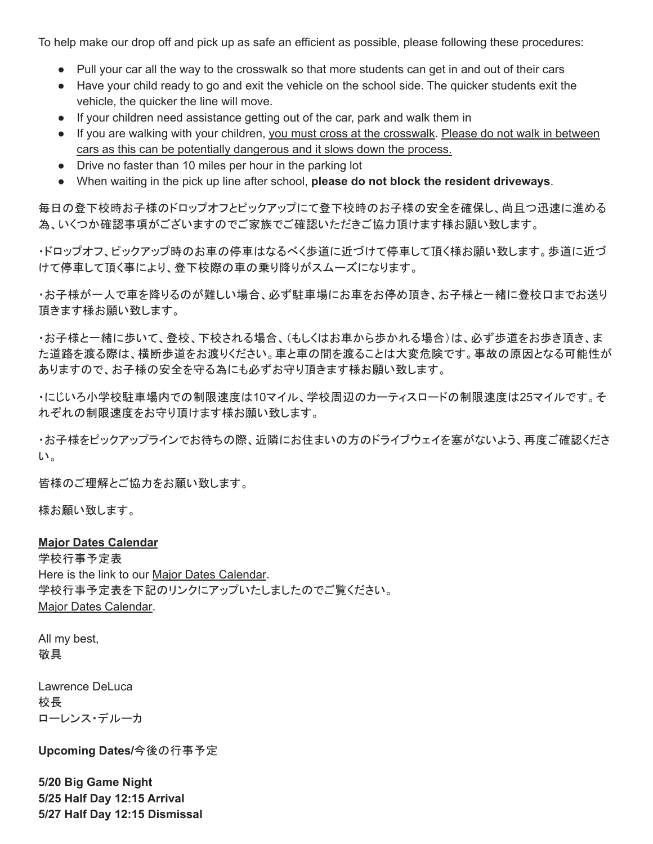To help make our drop off and pick up as safe an efficient as possible, please following these procedures:

- Pull your car all the way to the crosswalk so that more students can get in and out of their cars
- Have your child ready to go and exit the vehicle on the school side. The quicker students exit the vehicle, the quicker the line will move.
- If your children need assistance getting out of the car, park and walk them in
- If you are walking with your children, you must cross at the crosswalk. Please do not walk in between cars as this can be potentially dangerous and it slows down the process.
- Drive no faster than 10 miles per hour in the parking lot
- When waiting in the pick up line after school, **please do not block the resident driveways**.

毎日の登下校時お子様のドロップオフとピックアップにて登下校時のお子様の安全を確保し、尚且つ迅速に進める 為、いくつか確認事項がございますのでご家族でご確認いただきご協力頂けます様お願い致します。

・ドロップオフ、ピックアップ時のお車の停車はなるべく歩道に近づけて停車して頂く様お願い致します。歩道に近づ けて停車して頂く事により、登下校際の車の乗り降りがスムーズになります。

・お子様が一人で車を降りるのが難しい場合、必ず駐車場にお車をお停め頂き、お子様と一緒に登校口までお送り 頂きます様お願い致します。

・お子様と一緒に歩いて、登校、下校される場合、(もしくはお車から歩かれる場合)は、必ず歩道をお歩き頂き、ま た道路を渡る際は、横断歩道をお渡りください。車と車の間を渡ることは大変危険です。事故の原因となる可能性が ありますので、お子様の安全を守る為にも必ずお守り頂きます様お願い致します。

・にじいろ小学校駐車場内での制限速度は10マイル、学校周辺のカーティスロードの制限速度は25マイルです。そ れぞれの制限速度をお守り頂けます様お願い致します。

・お子様をピックアップラインでお待ちの際、近隣にお住まいの方のドライブウェイを塞がないよう、再度ご確認くださ い。

皆様のご理解とご協力をお願い致します。

様お願い致します。

#### **Major Dates Calendar**

学校行事予定表 Here is the link to our Major Dates [Calendar.](https://www.livoniapublicschools.org/cms/lib/MI50000451/Centricity/Domain/24/Niji-Iro%20Major%20Dates%20Calendar.pdf) 学校行事予定表を下記のリンクにアップいたしましたのでご覧ください。 Major Dates [Calendar.](https://www.livoniapublicschools.org/cms/lib/MI50000451/Centricity/Domain/24/Niji-Iro%20Major%20Dates%20Calendar.pdf)

All my best, 敬具

Lawrence DeLuca 校長 ローレンス・デルーカ

**Upcoming Dates/**今後の行事予定

**5/20 Big Game Night 5/25 Half Day 12:15 Arrival 5/27 Half Day 12:15 Dismissal**